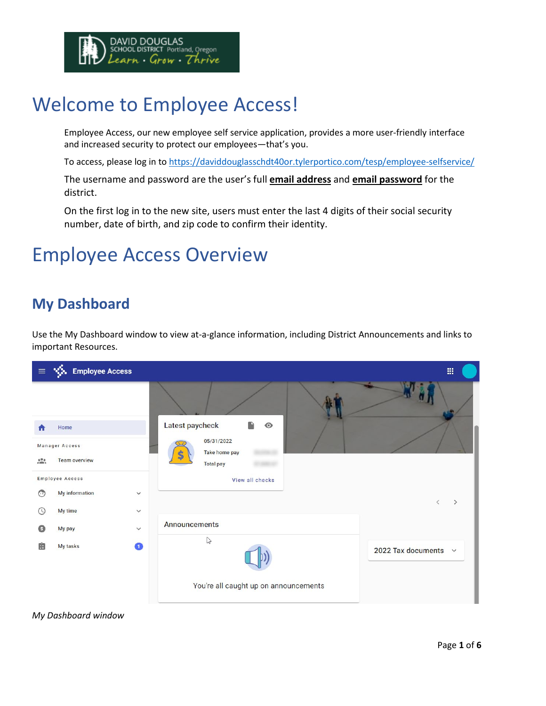

# Welcome to Employee Access!

Employee Access, our new employee self service application, provides a more user-friendly interface and increased security to protect our employees—that's you.

To access, please log in t[o https://daviddouglasschdt40or.tylerportico.com/tesp/employee-selfservice/](https://daviddouglasschdt40or.tylerportico.com/tesp/employee-selfservice/)

The username and password are the user's full **email address** and **email password** for the district.

On the first log in to the new site, users must enter the last 4 digits of their social security number, date of birth, and zip code to confirm their identity.

# Employee Access Overview

#### **My Dashboard**

Use the My Dashboard window to view at-a-glance information, including District Announcements and links to important Resources.



#### *My Dashboard window*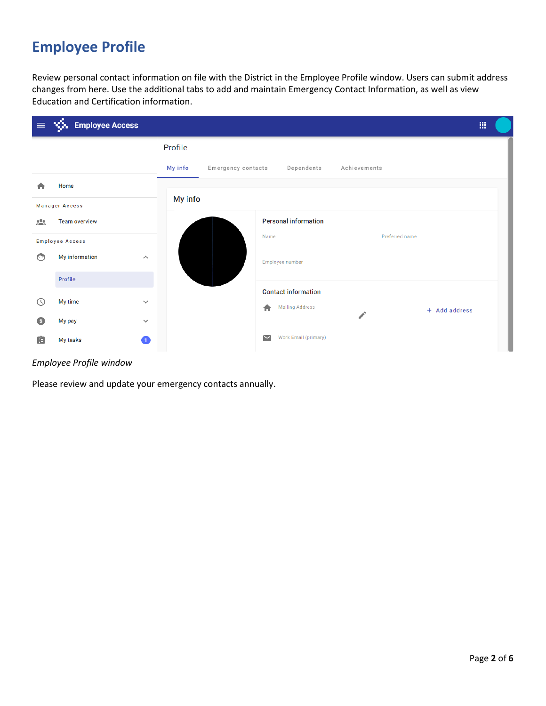## **Employee Profile**

Review personal contact information on file with the District in the Employee Profile window. Users can submit address changes from here. Use the additional tabs to add and maintain Emergency Contact Information, as well as view Education and Certification information.

| $\equiv$      | <b>VS.</b> Employee Access<br>冊                  |                               |                                                                            |  |  |  |
|---------------|--------------------------------------------------|-------------------------------|----------------------------------------------------------------------------|--|--|--|
|               |                                                  | Profile                       |                                                                            |  |  |  |
|               |                                                  | My info<br>Emergency contacts | Dependents<br>Achievements                                                 |  |  |  |
| π             | Home                                             |                               |                                                                            |  |  |  |
|               | <b>Manager Access</b>                            | My info                       |                                                                            |  |  |  |
| $\mathcal{L}$ | <b>Team overview</b>                             |                               | <b>Personal information</b>                                                |  |  |  |
|               | <b>Employee Access</b>                           |                               | Preferred name<br>Name                                                     |  |  |  |
| $\odot$       | <b>My information</b><br>$\widehat{\phantom{a}}$ |                               | Employee number                                                            |  |  |  |
|               | Profile                                          |                               |                                                                            |  |  |  |
| $(\cup)$      | My time<br>$\checkmark$                          |                               | <b>Contact information</b><br><b>Mailing Address</b><br>合<br>+ Add address |  |  |  |
| Θ             | My pay<br>$\checkmark$                           |                               |                                                                            |  |  |  |
| Ė             | Ω<br>My tasks                                    |                               | Work Email (primary)<br>$\overline{\phantom{0}}$                           |  |  |  |

#### *Employee Profile window*

Please review and update your emergency contacts annually.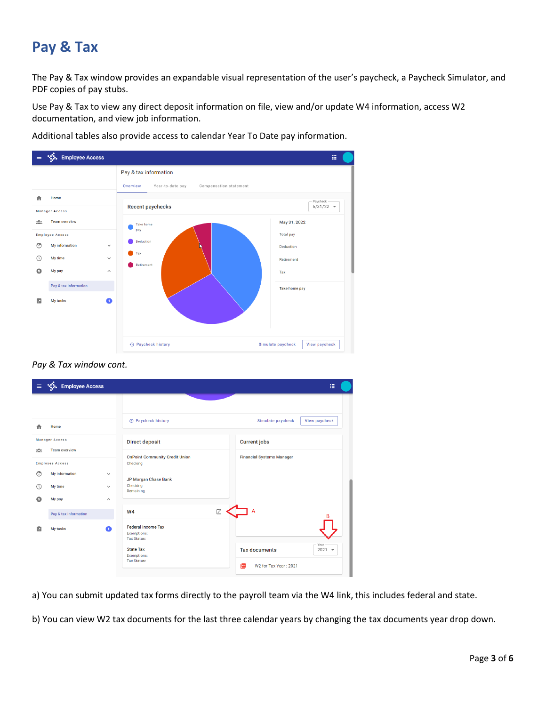## **Pay & Tax**

The Pay & Tax window provides an expandable visual representation of the user's paycheck, a Paycheck Simulator, and PDF copies of pay stubs.

Use Pay & Tax to view any direct deposit information on file, view and/or update W4 information, access W2 documentation, and view job information.

S. Employee Access  $\mathop{\mathrm{m}}$  $\equiv$ Pay & tax information Overview Year-to-date pay Compensation statement Home 合 **Recent paychecks**  $5/31/22$   $\sqrt{ }$ Manager Access **Team overview** May 31, 2022  $\frac{10}{100}$ 



| ----      |                        |              | Take home                 |                                    |
|-----------|------------------------|--------------|---------------------------|------------------------------------|
|           | <b>Employee Access</b> |              | pay                       | <b>Total pay</b>                   |
| $\odot$   | My information         | $\checkmark$ | Deduction                 | Deduction                          |
| $\odot$   | My time                | $\checkmark$ | Tax<br>Retirement         | Retirement                         |
| $\bullet$ | My pay                 | $\wedge$     |                           | Tax                                |
|           | Pay & tax information  |              |                           | Take home pay                      |
| 畠         | My tasks               | $\bullet$    |                           |                                    |
|           |                        |              | <b>4</b> Paycheck history | View paycheck<br>Simulate paycheck |

*Pay & Tax window cont.*

| $\equiv$      | <b>Employee Access</b>                         |                       |                                                                | 冊                                        |
|---------------|------------------------------------------------|-----------------------|----------------------------------------------------------------|------------------------------------------|
|               |                                                |                       |                                                                |                                          |
|               | Home                                           |                       | <b>4</b> Paycheck history                                      | Simulate paycheck<br>View paycheck       |
|               | <b>Manager Access</b>                          |                       | <b>Direct deposit</b>                                          | <b>Current jobs</b>                      |
| $\frac{1}{2}$ | <b>Team overview</b><br><b>Employee Access</b> |                       | <b>OnPoint Community Credit Union</b><br>Checking              | <b>Financial Systems Manager</b>         |
| $\bigcirc$    | My information                                 | $\checkmark$          | JP Morgan Chase Bank                                           |                                          |
|               | My time                                        | $\checkmark$          | Checking<br>Remaining                                          |                                          |
| o             | My pay                                         | $\boldsymbol{\wedge}$ |                                                                |                                          |
|               | Pay & tax information                          |                       | W <sub>4</sub>                                                 | Z<br>В                                   |
| 自             | My tasks                                       | Ω                     | <b>Federal Income Tax</b><br>Exemptions:<br><b>Tax Status:</b> |                                          |
|               |                                                |                       | <b>State Tax</b><br><b>Exemptions:</b><br><b>Tax Status:</b>   | Year<br><b>Tax documents</b><br>$2021 -$ |
|               |                                                |                       |                                                                | W2 for Tax Year: 2021<br><b>Por</b>      |

a) You can submit updated tax forms directly to the payroll team via the W4 link, this includes federal and state.

b) You can view W2 tax documents for the last three calendar years by changing the tax documents year drop down.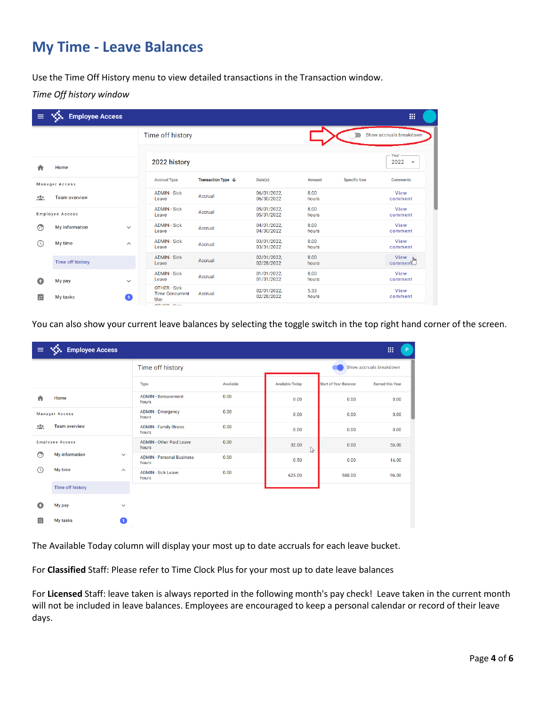## **My Time - Leave Balances**

Use the Time Off History menu to view detailed transactions in the Transaction window.

*Time Off history window*

| <b>REA</b><br>膃<br><b>Employee Access</b><br>$\equiv$ |                         |                     |                                                                 |                                      |                           |               |                     |                                          |
|-------------------------------------------------------|-------------------------|---------------------|-----------------------------------------------------------------|--------------------------------------|---------------------------|---------------|---------------------|------------------------------------------|
|                                                       |                         |                     | Time off history                                                |                                      |                           |               |                     | Show accruals breakdown                  |
| Home                                                  |                         |                     | 2022 history                                                    |                                      |                           |               |                     | Year<br>2022<br>$\overline{\phantom{a}}$ |
|                                                       | <b>Manager Access</b>   |                     | <b>Accrual Type</b>                                             | <b>Transaction Type</b> $\downarrow$ | Date(s)                   | Amount        | <b>Specific Use</b> | <b>Comments</b>                          |
| $\frac{1}{2}$                                         | <b>Team overview</b>    |                     | <b>ADMIN - Sick</b><br>Leave                                    | Accrual                              | 06/01/2022.<br>06/30/2022 | 8.00<br>hours |                     | View<br>comment                          |
|                                                       | <b>Employee Access</b>  |                     | <b>ADMIN - Sick</b><br>Leave                                    | Accrual                              | 05/01/2022.<br>05/31/2022 | 8.00<br>hours |                     | View<br>comment                          |
| ⊙                                                     | <b>My information</b>   | $\checkmark$        | <b>ADMIN - Sick</b><br>Leave                                    | Accrual                              | 04/01/2022.<br>04/30/2022 | 8.00<br>hours |                     | View<br>comment                          |
| $\circ$                                               | My time                 | $\hat{\phantom{a}}$ | <b>ADMIN - Sick</b><br>Leave                                    | Accrual                              | 03/01/2022.<br>03/31/2022 | 8.00<br>hours |                     | View<br>comment                          |
|                                                       | <b>Time off history</b> |                     | <b>ADMIN - Sick</b><br>Leave                                    | Accrual                              | 02/01/2022.<br>02/28/2022 | 8.00<br>hours |                     | $V$ iew<br>comment                       |
| $\bullet$                                             | My pay                  | $\checkmark$        | <b>ADMIN - Sick</b><br>Leave                                    | Accrual                              | 01/01/2022.<br>01/31/2022 | 8.00<br>hours |                     | View<br>comment                          |
| 畠                                                     | My tasks                | $\bullet$           | <b>OTHER - Sick</b><br><b>Time Concurrent</b><br>Use<br>_______ | Accrual                              | 02/01/2022,<br>02/28/2022 | 5.33<br>hours |                     | View<br>comment                          |

You can also show your current leave balances by selecting the toggle switch in the top right hand corner of the screen.

| $\equiv$      | <b>WA</b> Employee Access |                       |                                           |           |                        |                              | 疆<br>P.                 |
|---------------|---------------------------|-----------------------|-------------------------------------------|-----------|------------------------|------------------------------|-------------------------|
|               |                           |                       | Time off history                          |           |                        |                              | Show accruals breakdown |
|               |                           |                       | <b>Type</b>                               | Available | <b>Available Today</b> | <b>Start of Year Balance</b> | <b>Earned this Year</b> |
|               | Home                      |                       | <b>ADMIN - Bereavement</b><br>hours       | 0.00      | 0.00                   | 0.00                         | 0.00                    |
|               | <b>Manager Access</b>     |                       | <b>ADMIN - Emergency</b><br>hours         | 0.00      | 0.00                   | 0.00                         | 0.00                    |
| $\mathcal{L}$ | <b>Team overview</b>      |                       | <b>ADMIN</b> - Family Illness<br>hours    | 0.00      | 0.00                   | 0.00                         | 0.00                    |
|               | <b>Employee Access</b>    |                       | <b>ADMIN - Other Paid Leave</b><br>hours  | 0.00      | 32.00<br>ß             | 0.00                         | 56.00                   |
| ⊙             | My information            | $\checkmark$          | <b>ADMIN - Personal Business</b><br>hours | 0.00      | 0.50                   | 0.00                         | 16.00                   |
| $\circ$       | My time                   | $\boldsymbol{\wedge}$ | <b>ADMIN - Sick Leave</b><br>hours        | 0.00      | 625.00                 | 588.00                       | 96.00                   |
|               | <b>Time off history</b>   |                       |                                           |           |                        |                              |                         |
| Θ             | My pay                    | $\checkmark$          |                                           |           |                        |                              |                         |
| 畠             | My tasks                  | $\mathbf{1}$          |                                           |           |                        |                              |                         |

The Available Today column will display your most up to date accruals for each leave bucket.

For **Classified** Staff: Please refer to Time Clock Plus for your most up to date leave balances

For **Licensed** Staff: leave taken is always reported in the following month's pay check! Leave taken in the current month will not be included in leave balances. Employees are encouraged to keep a personal calendar or record of their leave days.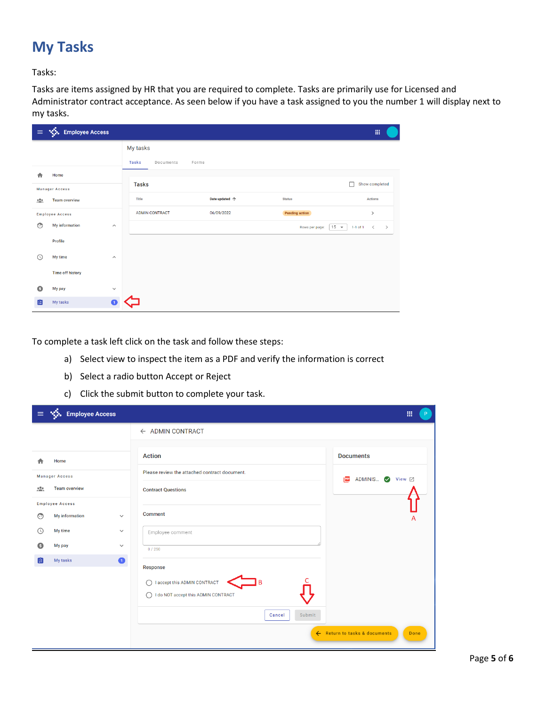## **My Tasks**

Tasks:

Tasks are items assigned by HR that you are required to complete. Tasks are primarily use for Licensed and Administrator contract acceptance. As seen below if you have a task assigned to you the number 1 will display next to my tasks.

| $\equiv$                                         | Sol Employee Access     |                       |                                    |                |                          | 讍                                   |
|--------------------------------------------------|-------------------------|-----------------------|------------------------------------|----------------|--------------------------|-------------------------------------|
|                                                  |                         |                       | My tasks                           |                |                          |                                     |
|                                                  |                         |                       | <b>Tasks</b><br>Documents<br>Forms |                |                          |                                     |
| n                                                | Home                    |                       |                                    |                |                          | П                                   |
|                                                  | <b>Manager Access</b>   |                       | <b>Tasks</b>                       |                |                          | Show completed                      |
| $\mathcal{L}_{\text{max}}^{\text{O}_{\text{R}}}$ | <b>Team overview</b>    |                       | <b>Title</b>                       | Date updated 个 | <b>Status</b>            | <b>Actions</b>                      |
|                                                  | <b>Employee Access</b>  |                       | <b>ADMIN CONTRACT</b>              | 06/09/2022     | <b>Pending action</b>    | $\rightarrow$                       |
| $\odot$                                          | My information          | $\boldsymbol{\wedge}$ |                                    |                | $15 -$<br>Rows per page: | 1-1 of 1 $\langle$<br>$\rightarrow$ |
|                                                  | Profile                 |                       |                                    |                |                          |                                     |
| ↷                                                | My time                 | $\wedge$              |                                    |                |                          |                                     |
|                                                  | <b>Time off history</b> |                       |                                    |                |                          |                                     |
| Θ                                                | My pay                  | $\checkmark$          |                                    |                |                          |                                     |
| 由                                                | My tasks                | $\blacksquare$        |                                    |                |                          |                                     |

To complete a task left click on the task and follow these steps:

- a) Select view to inspect the item as a PDF and verify the information is correct
- b) Select a radio button Accept or Reject
- c) Click the submit button to complete your task.

|               | $\equiv$ $\sqrt{\frac{1}{2}}$ . Employee Access |              |                                               | 讍<br>P                                |
|---------------|-------------------------------------------------|--------------|-----------------------------------------------|---------------------------------------|
|               |                                                 |              | ← ADMIN CONTRACT                              |                                       |
|               |                                                 |              | <b>Action</b>                                 | <b>Documents</b>                      |
|               | Home                                            |              | Please review the attached contract document. |                                       |
|               | <b>Manager Access</b><br><b>Team overview</b>   |              |                                               | ADMINIS Ø View ⊠<br>PDF               |
| $\frac{1}{2}$ |                                                 |              | <b>Contract Questions</b>                     |                                       |
| $\odot$       | <b>Employee Access</b><br>My information        | $\checkmark$ | Comment                                       | A                                     |
| $\circ$       | My time                                         | $\checkmark$ | Employee comment                              |                                       |
| o             | My pay                                          | $\checkmark$ | 0/250                                         |                                       |
| 瘤             | My tasks                                        | $\bullet$    | Response                                      |                                       |
|               |                                                 |              | I accept this ADMIN CONTRACT                  |                                       |
|               |                                                 |              | I do NOT accept this ADMIN CONTRACT<br>∩      |                                       |
|               |                                                 |              | Submit<br>Cancel                              |                                       |
|               |                                                 |              |                                               | ← Return to tasks & documents<br>Done |